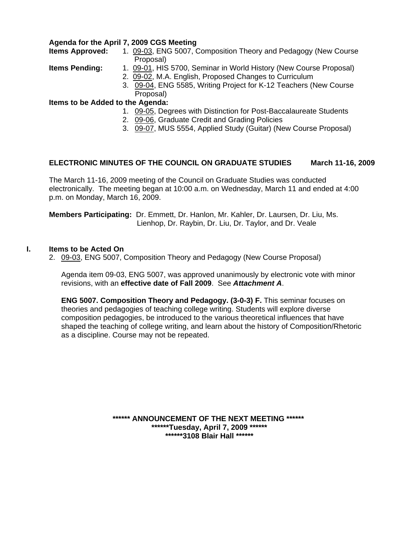#### **Agenda for the April 7, 2009 CGS Meeting**

**Items Approved:** 1.[09-03, E](http://www.eiu.edu/~eiucgs/currentagendaitems/agenda09-03.pdf)NG 5007, Composition Theory and Pedagogy (New Course Proposal)

- **Items Pending:** 1. [09-01,](http://www.eiu.edu/~eiucgs/currentagendaitems/agenda09-01.pdf) HIS 5700, Seminar in World History (New Course Proposal)
	- 2. [09-02, M](http://www.eiu.edu/~eiucgs/currentagendaitems/agenda09-02.pdf).A. English, Proposed Changes to Curriculum
	- 3. [09-04, EN](http://www.eiu.edu/~eiucgs/currentagendaitems/agenda09-04.pdf)G 5585, Writing Project for K-12 Teachers (New Course Proposal)

#### **Items to be Added to the Agenda:**

- 1. [09-05, D](http://www.eiu.edu/~eiucgs/currentagendaitems/agenda09-05.pdf)egrees with Distinction for Post-Baccalaureate Students
- 2. [09-06, G](http://www.eiu.edu/~eiucgs/currentagendaitems/agenda09-06.pdf)raduate Credit and Grading Policies
- 3. [09-07,](http://www.eiu.edu/~eiucgs/currentagendaitems/agenda09-07.pdf) MUS 5554, Applied Study (Guitar) (New Course Proposal)

#### **ELECTRONIC MINUTES OF THE COUNCIL ON GRADUATE STUDIES March 11-16, 2009**

The March 11-16, 2009 meeting of the Council on Graduate Studies was conducted electronically. The meeting began at 10:00 a.m. on Wednesday, March 11 and ended at 4:00 p.m. on Monday, March 16, 2009.

**Members Participating:** Dr. Emmett, Dr. Hanlon, Mr. Kahler, Dr. Laursen, Dr. Liu, Ms. Lienhop, Dr. Raybin, Dr. Liu, Dr. Taylor, and Dr. Veale

#### **I. Items to be Acted On**

2. [09-03,](http://www.eiu.edu/~eiucgs/currentagendaitems/agenda09-03.pdf) ENG 5007, Composition Theory and Pedagogy (New Course Proposal)

Agenda item 09-03, ENG 5007, was approved unanimously by electronic vote with minor revisions, with an **effective date of Fall 2009**. See *Attachment A*.

**ENG 5007. Composition Theory and Pedagogy. (3-0-3) F.** This seminar focuses on theories and pedagogies of teaching college writing. Students will explore diverse composition pedagogies, be introduced to the various theoretical influences that have shaped the teaching of college writing, and learn about the history of Composition/Rhetoric as a discipline. Course may not be repeated.

> **\*\*\*\*\*\* ANNOUNCEMENT OF THE NEXT MEETING \*\*\*\*\*\* \*\*\*\*\*\*Tuesday, April 7, 2009 \*\*\*\*\*\* \*\*\*\*\*\*3108 Blair Hall \*\*\*\*\*\***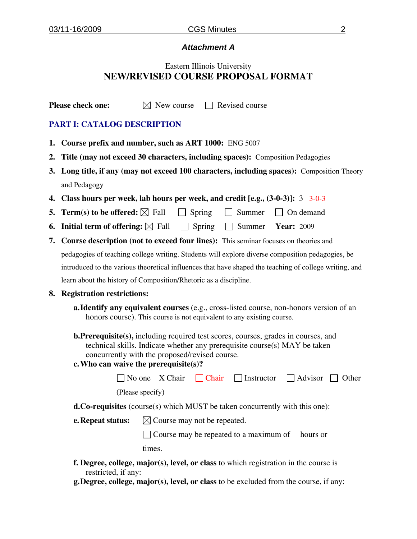## *Attachment A*

# Eastern Illinois University **NEW/REVISED COURSE PROPOSAL FORMAT**

**Please check one:**  $\boxtimes$  New course  $\Box$  Revised course

### **PART I: CATALOG DESCRIPTION**

- **1. Course prefix and number, such as ART 1000:** ENG 5007
- **2. Title (may not exceed 30 characters, including spaces):** Composition Pedagogies
- **3. Long title, if any (may not exceed 100 characters, including spaces):** Composition Theory and Pedagogy
- **4. Class hours per week, lab hours per week, and credit [e.g., (3-0-3)]:** 3 3-0-3
- **5. Term(s) to be offered:**  $\boxtimes$  Fall  $\Box$  Spring  $\Box$  Summer  $\Box$  On demand
- **6. Initial term of offering:**  $\boxtimes$  Fall  $\Box$  Spring  $\Box$  Summer **Year:** 2009
- **7. Course description (not to exceed four lines):** This seminar focuses on theories and pedagogies of teaching college writing. Students will explore diverse composition pedagogies, be introduced to the various theoretical influences that have shaped the teaching of college writing, and learn about the history of Composition/Rhetoric as a discipline.

#### **8. Registration restrictions:**

- **a.Identify any equivalent courses** (e.g., cross-listed course, non-honors version of an honors course). This course is not equivalent to any existing course.
- **b.Prerequisite(s),** including required test scores, courses, grades in courses, and technical skills. Indicate whether any prerequisite course(s) MAY be taken concurrently with the proposed/revised course.

# **c.Who can waive the prerequisite(s)?**

|                                                                                    |                  | $\Box$ No one X-Chair $\Box$ Chair $\Box$ Instructor $\Box$ Advisor $\Box$ Other |  |
|------------------------------------------------------------------------------------|------------------|----------------------------------------------------------------------------------|--|
|                                                                                    | (Please specify) |                                                                                  |  |
| <b>d.Co-requisites</b> (course(s) which MUST be taken concurrently with this one): |                  |                                                                                  |  |
| <b>e. Repeat status:</b> $\boxtimes$ Course may not be repeated.                   |                  |                                                                                  |  |
|                                                                                    |                  | $\Box$ Course may be repeated to a maximum of hours or                           |  |
|                                                                                    | times.           |                                                                                  |  |

- **f. Degree, college, major(s), level, or class** to which registration in the course is restricted, if any:
- **g.Degree, college, major(s), level, or class** to be excluded from the course, if any: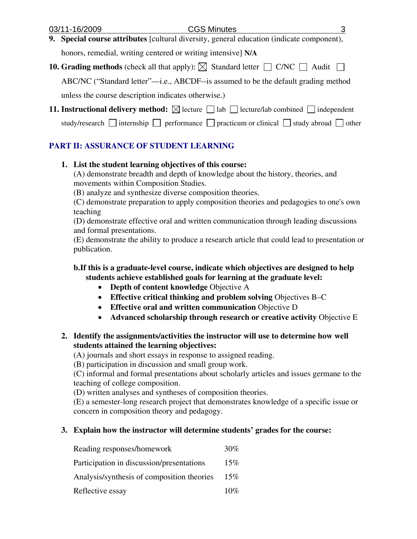- **9. Special course attributes** [cultural diversity, general education (indicate component), honors, remedial, writing centered or writing intensive] **N/A**
- **10. Grading methods** (check all that apply):  $\boxtimes$  Standard letter  $\Box$  C/NC  $\Box$  Audit  $\Box$ ABC/NC ("Standard letter"—i.e., ABCDF--is assumed to be the default grading method

unless the course description indicates otherwise.)

- **11. Instructional delivery method:**  $\boxtimes$  lecture  $\Box$  lab  $\Box$  lecture/lab combined  $\Box$  independent
	- study/research  $\Box$  internship  $\Box$  performance  $\Box$  practicum or clinical  $\Box$  study abroad  $\Box$  other

# **PART II: ASSURANCE OF STUDENT LEARNING**

# **1. List the student learning objectives of this course:**

(A) demonstrate breadth and depth of knowledge about the history, theories, and movements within Composition Studies.

(B) analyze and synthesize diverse composition theories.

(C) demonstrate preparation to apply composition theories and pedagogies to one's own teaching

(D) demonstrate effective oral and written communication through leading discussions and formal presentations.

(E) demonstrate the ability to produce a research article that could lead to presentation or publication.

# **b.If this is a graduate-level course, indicate which objectives are designed to help students achieve established goals for learning at the graduate level:**

- **Depth of content knowledge** Objective A
- **Effective critical thinking and problem solving Objectives B–C**
- **Effective oral and written communication** Objective D
- **Advanced scholarship through research or creative activity Objective E**

# **2. Identify the assignments/activities the instructor will use to determine how well students attained the learning objectives:**

(A) journals and short essays in response to assigned reading.

(B) participation in discussion and small group work.

(C) informal and formal presentations about scholarly articles and issues germane to the teaching of college composition.

(D) written analyses and syntheses of composition theories.

(E) a semester-long research project that demonstrates knowledge of a specific issue or concern in composition theory and pedagogy.

# **3. Explain how the instructor will determine students' grades for the course:**

| Reading responses/homework                 | 30% |
|--------------------------------------------|-----|
| Participation in discussion/presentations  | 15% |
| Analysis/synthesis of composition theories | 15% |
| Reflective essay                           | 10% |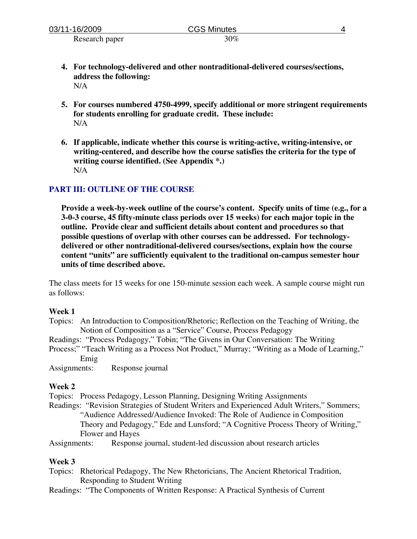| 03/11-16/2009  | <b>CGS Minutes</b> |  |
|----------------|--------------------|--|
| Research paper | 30%                |  |

- **4. For technology-delivered and other nontraditional-delivered courses/sections, address the following:**  N/A
- **5. For courses numbered 4750-4999, specify additional or more stringent requirements for students enrolling for graduate credit. These include:** N/A
- **6. If applicable, indicate whether this course is writing-active, writing-intensive, or writing-centered, and describe how the course satisfies the criteria for the type of writing course identified. (See Appendix \*.)**  N/A

### **PART III: OUTLINE OF THE COURSE**

**Provide a week-by-week outline of the course's content. Specify units of time (e.g., for a 3-0-3 course, 45 fifty-minute class periods over 15 weeks) for each major topic in the outline. Provide clear and sufficient details about content and procedures so that possible questions of overlap with other courses can be addressed. For technologydelivered or other nontraditional-delivered courses/sections, explain how the course content "units" are sufficiently equivalent to the traditional on-campus semester hour units of time described above.** 

The class meets for 15 weeks for one 150-minute session each week. A sample course might run as follows:

#### **Week 1**

- Topics: An Introduction to Composition/Rhetoric; Reflection on the Teaching of Writing, the Notion of Composition as a "Service" Course, Process Pedagogy
- Readings: "Process Pedagogy," Tobin; "The Givens in Our Conversation: The Writing

Process;" "Teach Writing as a Process Not Product," Murray; "Writing as a Mode of Learning," Emig

Assignments: Response journal

#### **Week 2**

Topics: Process Pedagogy, Lesson Planning, Designing Writing Assignments

Readings: "Revision Strategies of Student Writers and Experienced Adult Writers," Sommers; "Audience Addressed/Audience Invoked: The Role of Audience in Composition Theory and Pedagogy," Ede and Lunsford; "A Cognitive Process Theory of Writing," Flower and Hayes

Assignments: Response journal, student-led discussion about research articles

#### **Week 3**

- Topics: Rhetorical Pedagogy, The New Rhetoricians, The Ancient Rhetorical Tradition, Responding to Student Writing
- Readings: "The Components of Written Response: A Practical Synthesis of Current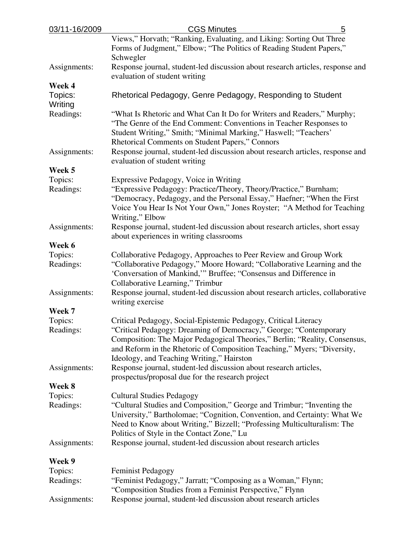| 03/11-16/2009      | <b>CGS Minutes</b><br>5                                                                                                                                                                                                                                                     |
|--------------------|-----------------------------------------------------------------------------------------------------------------------------------------------------------------------------------------------------------------------------------------------------------------------------|
|                    | Views," Horvath; "Ranking, Evaluating, and Liking: Sorting Out Three                                                                                                                                                                                                        |
|                    | Forms of Judgment," Elbow; "The Politics of Reading Student Papers,"<br>Schwegler                                                                                                                                                                                           |
| Assignments:       | Response journal, student-led discussion about research articles, response and<br>evaluation of student writing                                                                                                                                                             |
| Week 4             |                                                                                                                                                                                                                                                                             |
| Topics:<br>Writing | Rhetorical Pedagogy, Genre Pedagogy, Responding to Student                                                                                                                                                                                                                  |
| Readings:          | "What Is Rhetoric and What Can It Do for Writers and Readers," Murphy;<br>"The Genre of the End Comment: Conventions in Teacher Responses to<br>Student Writing," Smith; "Minimal Marking," Haswell; "Teachers'<br>Rhetorical Comments on Student Papers," Connors          |
| Assignments:       | Response journal, student-led discussion about research articles, response and<br>evaluation of student writing                                                                                                                                                             |
| Week 5             |                                                                                                                                                                                                                                                                             |
| Topics:            | Expressive Pedagogy, Voice in Writing                                                                                                                                                                                                                                       |
| Readings:          | "Expressive Pedagogy: Practice/Theory, Theory/Practice," Burnham;<br>"Democracy, Pedagogy, and the Personal Essay," Haefner; "When the First<br>Voice You Hear Is Not Your Own," Jones Royster; "A Method for Teaching<br>Writing," Elbow                                   |
| Assignments:       | Response journal, student-led discussion about research articles, short essay<br>about experiences in writing classrooms                                                                                                                                                    |
| Week 6             |                                                                                                                                                                                                                                                                             |
| Topics:            | Collaborative Pedagogy, Approaches to Peer Review and Group Work                                                                                                                                                                                                            |
| Readings:          | "Collaborative Pedagogy," Moore Howard; "Collaborative Learning and the<br>'Conversation of Mankind," Bruffee; "Consensus and Difference in<br>Collaborative Learning," Trimbur                                                                                             |
| Assignments:       | Response journal, student-led discussion about research articles, collaborative<br>writing exercise                                                                                                                                                                         |
| Week 7             |                                                                                                                                                                                                                                                                             |
| Topics:            | Critical Pedagogy, Social-Epistemic Pedagogy, Critical Literacy                                                                                                                                                                                                             |
| Readings:          | "Critical Pedagogy: Dreaming of Democracy," George; "Contemporary<br>Composition: The Major Pedagogical Theories," Berlin; "Reality, Consensus,<br>and Reform in the Rhetoric of Composition Teaching," Myers; "Diversity,<br>Ideology, and Teaching Writing," Hairston     |
| Assignments:       | Response journal, student-led discussion about research articles,<br>prospectus/proposal due for the research project                                                                                                                                                       |
| Week 8             |                                                                                                                                                                                                                                                                             |
| Topics:            | <b>Cultural Studies Pedagogy</b>                                                                                                                                                                                                                                            |
| Readings:          | "Cultural Studies and Composition," George and Trimbur; "Inventing the<br>University," Bartholomae; "Cognition, Convention, and Certainty: What We<br>Need to Know about Writing," Bizzell; "Professing Multiculturalism: The<br>Politics of Style in the Contact Zone," Lu |
| Assignments:       | Response journal, student-led discussion about research articles                                                                                                                                                                                                            |
| Week 9             |                                                                                                                                                                                                                                                                             |
| Topics:            | <b>Feminist Pedagogy</b>                                                                                                                                                                                                                                                    |
| Readings:          | "Feminist Pedagogy," Jarratt; "Composing as a Woman," Flynn;<br>"Composition Studies from a Feminist Perspective," Flynn                                                                                                                                                    |
| Assignments:       | Response journal, student-led discussion about research articles                                                                                                                                                                                                            |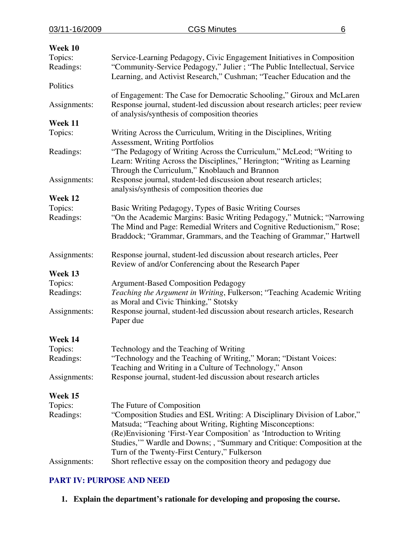| Week 10              |                                                                                                                                                                                                                                                                                                                                           |
|----------------------|-------------------------------------------------------------------------------------------------------------------------------------------------------------------------------------------------------------------------------------------------------------------------------------------------------------------------------------------|
| Topics:              | Service-Learning Pedagogy, Civic Engagement Initiatives in Composition                                                                                                                                                                                                                                                                    |
| Readings:            | "Community-Service Pedagogy," Julier ; "The Public Intellectual, Service<br>Learning, and Activist Research," Cushman; "Teacher Education and the                                                                                                                                                                                         |
| Politics             |                                                                                                                                                                                                                                                                                                                                           |
| Assignments:         | of Engagement: The Case for Democratic Schooling," Giroux and McLaren<br>Response journal, student-led discussion about research articles; peer review<br>of analysis/synthesis of composition theories                                                                                                                                   |
| Week 11              |                                                                                                                                                                                                                                                                                                                                           |
| Topics:              | Writing Across the Curriculum, Writing in the Disciplines, Writing<br><b>Assessment, Writing Portfolios</b>                                                                                                                                                                                                                               |
| Readings:            | "The Pedagogy of Writing Across the Curriculum," McLeod; "Writing to<br>Learn: Writing Across the Disciplines," Herington; "Writing as Learning<br>Through the Curriculum," Knoblauch and Brannon                                                                                                                                         |
| Assignments:         | Response journal, student-led discussion about research articles;<br>analysis/synthesis of composition theories due                                                                                                                                                                                                                       |
| Week 12              |                                                                                                                                                                                                                                                                                                                                           |
| Topics:              | Basic Writing Pedagogy, Types of Basic Writing Courses                                                                                                                                                                                                                                                                                    |
| Readings:            | "On the Academic Margins: Basic Writing Pedagogy," Mutnick; "Narrowing<br>The Mind and Page: Remedial Writers and Cognitive Reductionism," Rose;<br>Braddock; "Grammar, Grammars, and the Teaching of Grammar," Hartwell                                                                                                                  |
| Assignments:         | Response journal, student-led discussion about research articles, Peer<br>Review of and/or Conferencing about the Research Paper                                                                                                                                                                                                          |
| Week 13              |                                                                                                                                                                                                                                                                                                                                           |
| Topics:<br>Readings: | <b>Argument-Based Composition Pedagogy</b><br>Teaching the Argument in Writing, Fulkerson; "Teaching Academic Writing<br>as Moral and Civic Thinking," Stotsky                                                                                                                                                                            |
| Assignments:         | Response journal, student-led discussion about research articles, Research<br>Paper due                                                                                                                                                                                                                                                   |
| Week 14              |                                                                                                                                                                                                                                                                                                                                           |
| Topics:              | Technology and the Teaching of Writing                                                                                                                                                                                                                                                                                                    |
| Readings:            | "Technology and the Teaching of Writing," Moran; "Distant Voices:<br>Teaching and Writing in a Culture of Technology," Anson                                                                                                                                                                                                              |
| Assignments:         | Response journal, student-led discussion about research articles                                                                                                                                                                                                                                                                          |
| Week 15              |                                                                                                                                                                                                                                                                                                                                           |
| Topics:              | The Future of Composition                                                                                                                                                                                                                                                                                                                 |
| Readings:            | "Composition Studies and ESL Writing: A Disciplinary Division of Labor,"<br>Matsuda; "Teaching about Writing, Righting Misconceptions:<br>(Re)Envisioning 'First-Year Composition' as 'Introduction to Writing<br>Studies," Wardle and Downs; , "Summary and Critique: Composition at the<br>Turn of the Twenty-First Century," Fulkerson |
| Assignments:         | Short reflective essay on the composition theory and pedagogy due                                                                                                                                                                                                                                                                         |

# **PART IV: PURPOSE AND NEED**

**1. Explain the department's rationale for developing and proposing the course.**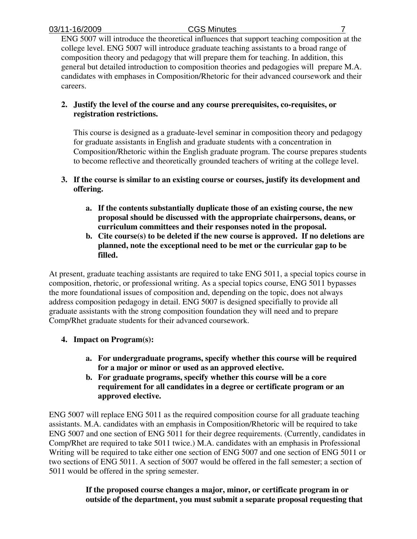ENG 5007 will introduce the theoretical influences that support teaching composition at the college level. ENG 5007 will introduce graduate teaching assistants to a broad range of composition theory and pedagogy that will prepare them for teaching. In addition, this general but detailed introduction to composition theories and pedagogies will prepare M.A. candidates with emphases in Composition/Rhetoric for their advanced coursework and their careers.

# **2. Justify the level of the course and any course prerequisites, co-requisites, or registration restrictions.**

This course is designed as a graduate-level seminar in composition theory and pedagogy for graduate assistants in English and graduate students with a concentration in Composition/Rhetoric within the English graduate program. The course prepares students to become reflective and theoretically grounded teachers of writing at the college level.

- **3. If the course is similar to an existing course or courses, justify its development and offering.** 
	- **a. If the contents substantially duplicate those of an existing course, the new proposal should be discussed with the appropriate chairpersons, deans, or curriculum committees and their responses noted in the proposal.**
	- **b. Cite course(s) to be deleted if the new course is approved. If no deletions are planned, note the exceptional need to be met or the curricular gap to be filled.**

At present, graduate teaching assistants are required to take ENG 5011, a special topics course in composition, rhetoric, or professional writing. As a special topics course, ENG 5011 bypasses the more foundational issues of composition and, depending on the topic, does not always address composition pedagogy in detail. ENG 5007 is designed specifially to provide all graduate assistants with the strong composition foundation they will need and to prepare Comp/Rhet graduate students for their advanced coursework.

- **4. Impact on Program(s):** 
	- **a. For undergraduate programs, specify whether this course will be required for a major or minor or used as an approved elective.**
	- **b. For graduate programs, specify whether this course will be a core requirement for all candidates in a degree or certificate program or an approved elective.**

ENG 5007 will replace ENG 5011 as the required composition course for all graduate teaching assistants. M.A. candidates with an emphasis in Composition/Rhetoric will be required to take ENG 5007 and one section of ENG 5011 for their degree requirements. (Currently, candidates in Comp/Rhet are required to take 5011 twice.) M.A. candidates with an emphasis in Professional Writing will be required to take either one section of ENG 5007 and one section of ENG 5011 or two sections of ENG 5011. A section of 5007 would be offered in the fall semester; a section of 5011 would be offered in the spring semester.

> **If the proposed course changes a major, minor, or certificate program in or outside of the department, you must submit a separate proposal requesting that**